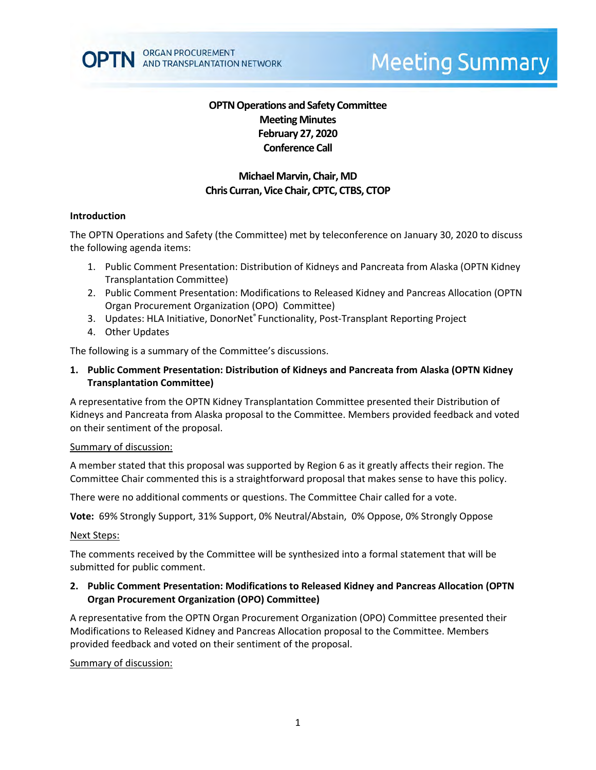# **Meeting Summary**

## **OPTN Operations and Safety Committee Meeting Minutes February 27, 2020 Conference Call**

# **Michael Marvin, Chair, MD Chris Curran, Vice Chair, CPTC, CTBS, CTOP**

## **Introduction**

The OPTN Operations and Safety (the Committee) met by teleconference on January 30, 2020 to discuss the following agenda items:

- 1. Public Comment Presentation: Distribution of Kidneys and Pancreata from Alaska (OPTN Kidney Transplantation Committee)
- 2. Public Comment Presentation: Modifications to Released Kidney and Pancreas Allocation (OPTN Organ Procurement Organization (OPO) Committee)
- 3. Updates: HLA Initiative, DonorNet® Functionality, Post-Transplant Reporting Project
- 4. Other Updates

The following is a summary of the Committee's discussions.

**1. Public Comment Presentation: Distribution of Kidneys and Pancreata from Alaska (OPTN Kidney Transplantation Committee)**

A representative from the OPTN Kidney Transplantation Committee presented their Distribution of Kidneys and Pancreata from Alaska proposal to the Committee. Members provided feedback and voted on their sentiment of the proposal.

#### Summary of discussion:

A member stated that this proposal was supported by Region 6 as it greatly affects their region. The Committee Chair commented this is a straightforward proposal that makes sense to have this policy.

There were no additional comments or questions. The Committee Chair called for a vote.

**Vote:** 69% Strongly Support, 31% Support, 0% Neutral/Abstain, 0% Oppose, 0% Strongly Oppose

#### Next Steps:

The comments received by the Committee will be synthesized into a formal statement that will be submitted for public comment.

## **2. Public Comment Presentation: Modifications to Released Kidney and Pancreas Allocation (OPTN Organ Procurement Organization (OPO) Committee)**

A representative from the OPTN Organ Procurement Organization (OPO) Committee presented their Modifications to Released Kidney and Pancreas Allocation proposal to the Committee. Members provided feedback and voted on their sentiment of the proposal.

## Summary of discussion: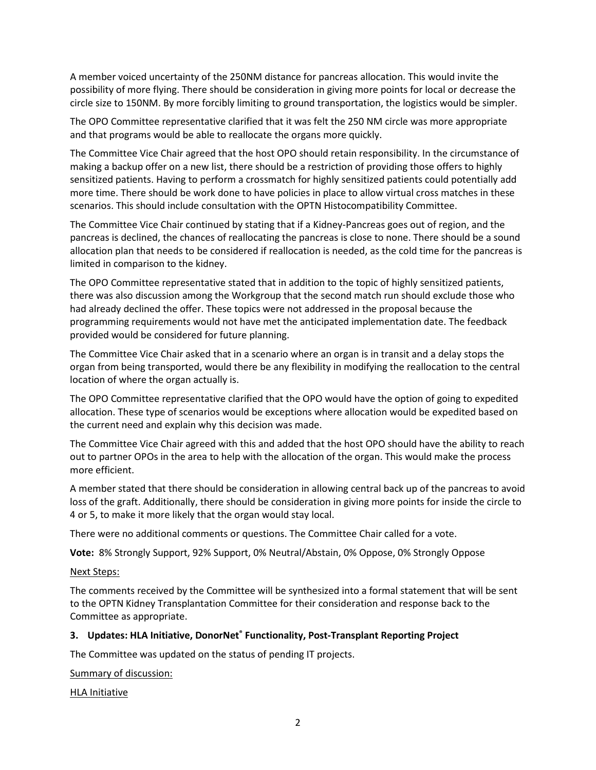A member voiced uncertainty of the 250NM distance for pancreas allocation. This would invite the possibility of more flying. There should be consideration in giving more points for local or decrease the circle size to 150NM. By more forcibly limiting to ground transportation, the logistics would be simpler.

The OPO Committee representative clarified that it was felt the 250 NM circle was more appropriate and that programs would be able to reallocate the organs more quickly.

The Committee Vice Chair agreed that the host OPO should retain responsibility. In the circumstance of making a backup offer on a new list, there should be a restriction of providing those offers to highly sensitized patients. Having to perform a crossmatch for highly sensitized patients could potentially add more time. There should be work done to have policies in place to allow virtual cross matches in these scenarios. This should include consultation with the OPTN Histocompatibility Committee.

The Committee Vice Chair continued by stating that if a Kidney-Pancreas goes out of region, and the pancreas is declined, the chances of reallocating the pancreas is close to none. There should be a sound allocation plan that needs to be considered if reallocation is needed, as the cold time for the pancreas is limited in comparison to the kidney.

The OPO Committee representative stated that in addition to the topic of highly sensitized patients, there was also discussion among the Workgroup that the second match run should exclude those who had already declined the offer. These topics were not addressed in the proposal because the programming requirements would not have met the anticipated implementation date. The feedback provided would be considered for future planning.

The Committee Vice Chair asked that in a scenario where an organ is in transit and a delay stops the organ from being transported, would there be any flexibility in modifying the reallocation to the central location of where the organ actually is.

The OPO Committee representative clarified that the OPO would have the option of going to expedited allocation. These type of scenarios would be exceptions where allocation would be expedited based on the current need and explain why this decision was made.

The Committee Vice Chair agreed with this and added that the host OPO should have the ability to reach out to partner OPOs in the area to help with the allocation of the organ. This would make the process more efficient.

A member stated that there should be consideration in allowing central back up of the pancreas to avoid loss of the graft. Additionally, there should be consideration in giving more points for inside the circle to 4 or 5, to make it more likely that the organ would stay local.

There were no additional comments or questions. The Committee Chair called for a vote.

**Vote:** 8% Strongly Support, 92% Support, 0% Neutral/Abstain, 0% Oppose, 0% Strongly Oppose

#### Next Steps:

The comments received by the Committee will be synthesized into a formal statement that will be sent to the OPTN Kidney Transplantation Committee for their consideration and response back to the Committee as appropriate.

#### **3. Updates: HLA Initiative, DonorNet® Functionality, Post-Transplant Reporting Project**

The Committee was updated on the status of pending IT projects.

#### Summary of discussion:

HLA Initiative